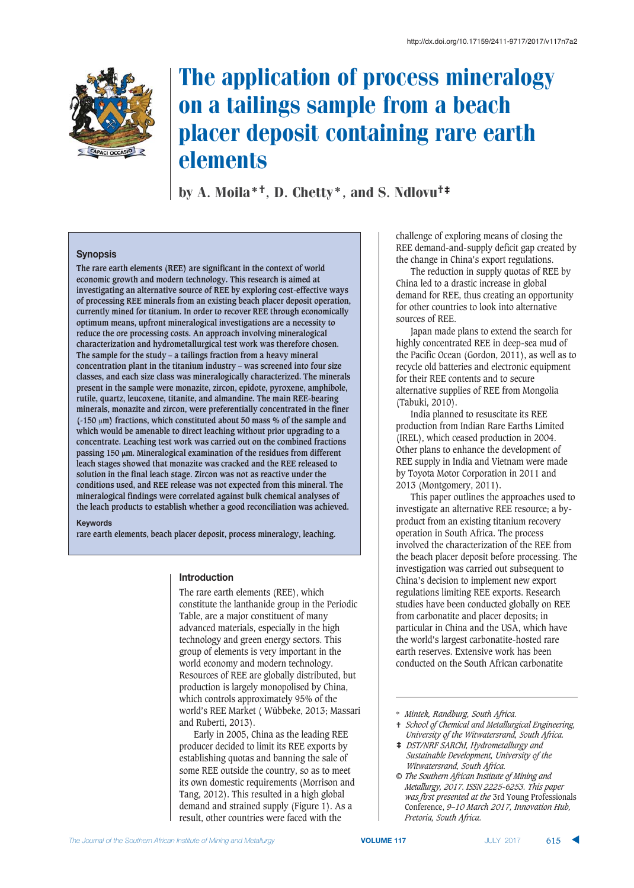

# The application of process mineralogy on a tailings sample from a beach placer deposit containing rare earth elements

by A. Moila\*†, D. Chetty\*, and S. Ndlovu†‡

# **Synopsis**

**The rare earth elements (REE) are significant in the context of world economic growth and modern technology. This research is aimed at investigating an alternative source of REE by exploring cost-effective ways of processing REE minerals from an existing beach placer deposit operation, currently mined for titanium. In order to recover REE through economically optimum means, upfront mineralogical investigations are a necessity to reduce the ore processing costs. An approach involving mineralogical characterization and hydrometallurgical test work was therefore chosen. The sample for the study – a tailings fraction from a heavy mineral concentration plant in the titanium industry – was screened into four size classes, and each size class was mineralogically characterized. The minerals present in the sample were monazite, zircon, epidote, pyroxene, amphibole, rutile, quartz, leucoxene, titanite, and almandine. The main REE-bearing minerals, monazite and zircon, were preferentially concentrated in the finer (-150 m) fractions, which constituted about 50 mass % of the sample and which would be amenable to direct leaching without prior upgrading to a concentrate. Leaching test work was carried out on the combined fractions passing 150 m. Mineralogical examination of the residues from different leach stages showed that monazite was cracked and the REE released to solution in the final leach stage. Zircon was not as reactive under the conditions used, and REE release was not expected from this mineral. The mineralogical findings were correlated against bulk chemical analyses of the leach products to establish whether a good reconciliation was achieved.**

### **-< +564:**

**rare earth elements, beach placer deposit, process mineralogy, leaching.**

### **Introduction**

The rare earth elements (REE), which constitute the lanthanide group in the Periodic Table, are a major constituent of many advanced materials, especially in the high technology and green energy sectors. This group of elements is very important in the world economy and modern technology. Resources of REE are globally distributed, but production is largely monopolised by China, which controls approximately 95% of the world's REE Market ( Wübbeke, 2013; Massari and Ruberti, 2013).

Early in 2005, China as the leading REE producer decided to limit its REE exports by establishing quotas and banning the sale of some REE outside the country, so as to meet its own domestic requirements (Morrison and Tang, 2012). This resulted in a high global demand and strained supply (Figure 1). As a result, other countries were faced with the

challenge of exploring means of closing the REE demand-and-supply deficit gap created by the change in China's export regulations.

The reduction in supply quotas of REE by China led to a drastic increase in global demand for REE, thus creating an opportunity for other countries to look into alternative sources of REE.

Japan made plans to extend the search for highly concentrated REE in deep-sea mud of the Pacific Ocean (Gordon, 2011), as well as to recycle old batteries and electronic equipment for their REE contents and to secure alternative supplies of REE from Mongolia (Tabuki, 2010).

India planned to resuscitate its REE production from Indian Rare Earths Limited (IREL), which ceased production in 2004. Other plans to enhance the development of REE supply in India and Vietnam were made by Toyota Motor Corporation in 2011 and 2013 (Montgomery, 2011).

This paper outlines the approaches used to investigate an alternative REE resource; a byproduct from an existing titanium recovery operation in South Africa. The process involved the characterization of the REE from the beach placer deposit before processing. The investigation was carried out subsequent to China's decision to implement new export regulations limiting REE exports. Research studies have been conducted globally on REE from carbonatite and placer deposits; in particular in China and the USA, which have the world's largest carbonatite-hosted rare earth reserves. Extensive work has been conducted on the South African carbonatite

- † *School of Chemical and Metallurgical Engineering, University of the Witwatersrand, South Africa.*
- ‡ *DST/NRF SARChI, Hydrometallurgy and Sustainable Development, University of the Witwatersrand, South Africa.*
- *© The Southern African Institute of Mining and Metallurgy, 2017. ISSN 2225-6253. This paper was first presented at the* 3rd Young Professionals Conference, *9–10 March 2017, Innovation Hub, Pretoria, South Africa.*

<sup>\*</sup> *Mintek, Randburg, South Africa.*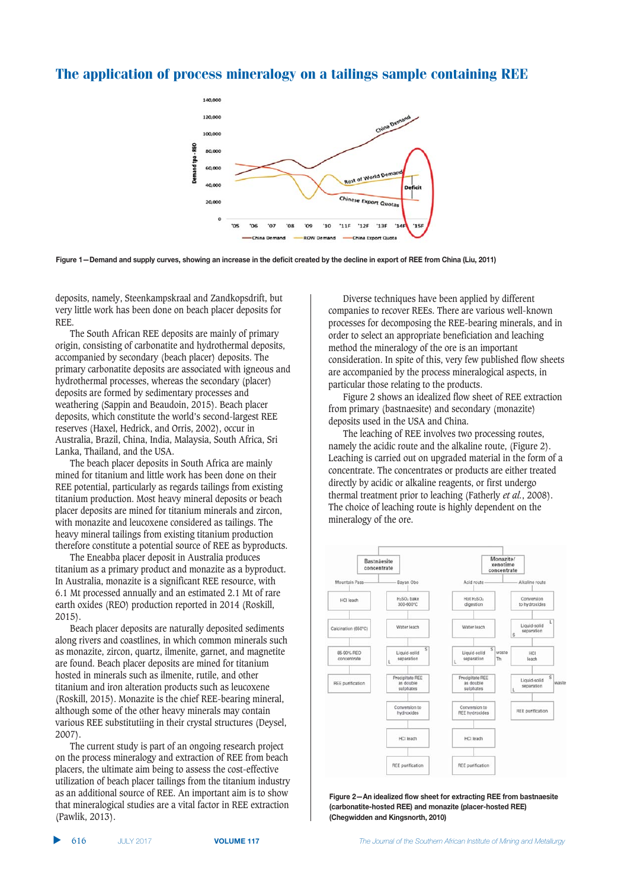

Figure 1-Demand and supply curves, showing an increase in the deficit created by the decline in export of REE from China (Liu, 2011)

deposits, namely, Steenkampskraal and Zandkopsdrift, but very little work has been done on beach placer deposits for REE.

The South African REE deposits are mainly of primary origin, consisting of carbonatite and hydrothermal deposits, accompanied by secondary (beach placer) deposits. The primary carbonatite deposits are associated with igneous and hydrothermal processes, whereas the secondary (placer) deposits are formed by sedimentary processes and weathering (Sappin and Beaudoin, 2015). Beach placer deposits, which constitute the world's second-largest REE reserves (Haxel, Hedrick, and Orris, 2002), occur in Australia, Brazil, China, India, Malaysia, South Africa, Sri Lanka, Thailand, and the USA.

The beach placer deposits in South Africa are mainly mined for titanium and little work has been done on their REE potential, particularly as regards tailings from existing titanium production. Most heavy mineral deposits or beach placer deposits are mined for titanium minerals and zircon, with monazite and leucoxene considered as tailings. The heavy mineral tailings from existing titanium production therefore constitute a potential source of REE as byproducts.

The Eneabba placer deposit in Australia produces titanium as a primary product and monazite as a byproduct. In Australia, monazite is a significant REE resource, with 6.1 Mt processed annually and an estimated 2.1 Mt of rare earth oxides (REO) production reported in 2014 (Roskill, 2015).

Beach placer deposits are naturally deposited sediments along rivers and coastlines, in which common minerals such as monazite, zircon, quartz, ilmenite, garnet, and magnetite are found. Beach placer deposits are mined for titanium hosted in minerals such as ilmenite, rutile, and other titanium and iron alteration products such as leucoxene (Roskill, 2015). Monazite is the chief REE-bearing mineral, although some of the other heavy minerals may contain various REE substitutiing in their crystal structures (Deysel, 2007).

The current study is part of an ongoing research project on the process mineralogy and extraction of REE from beach placers, the ultimate aim being to assess the cost-effective utilization of beach placer tailings from the titanium industry as an additional source of REE. An important aim is to show that mineralogical studies are a vital factor in REE extraction (Pawlik, 2013).

Diverse techniques have been applied by different companies to recover REEs. There are various well-known processes for decomposing the REE-bearing minerals, and in order to select an appropriate beneficiation and leaching method the mineralogy of the ore is an important consideration. In spite of this, very few published flow sheets are accompanied by the process mineralogical aspects, in particular those relating to the products.

Figure 2 shows an idealized flow sheet of REE extraction from primary (bastnaesite) and secondary (monazite) deposits used in the USA and China.

The leaching of REE involves two processing routes, namely the acidic route and the alkaline route, (Figure 2). Leaching is carried out on upgraded material in the form of a concentrate. The concentrates or products are either treated directly by acidic or alkaline reagents, or first undergo thermal treatment prior to leaching (Fatherly *et al.*, 2008). The choice of leaching route is highly dependent on the mineralogy of the ore.



Figure 2-An idealized flow sheet for extracting REE from bastnaesite (carbonatite-hosted REE) and monazite (placer-hosted REE) **(Chegwidden and Kingsnorth, 2010)**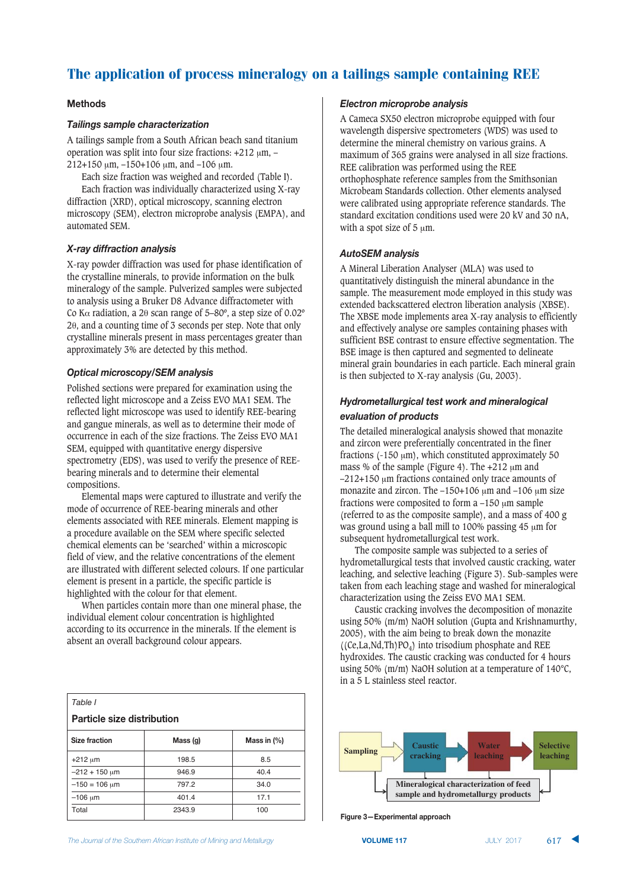# **Methods**

# **Tailings sample characterization**

A tailings sample from a South African beach sand titanium operation was split into four size fractions:  $+212 \mu m$ , - $212+150 \mu m$ ,  $-150+106 \mu m$ , and  $-106 \mu m$ .

Each size fraction was weighed and recorded (Table I). Each fraction was individually characterized using X-ray diffraction (XRD), optical microscopy, scanning electron microscopy (SEM), electron microprobe analysis (EMPA), and automated SEM.

# **X-ray diffraction analysis**

X-ray powder diffraction was used for phase identification of the crystalline minerals, to provide information on the bulk mineralogy of the sample. Pulverized samples were subjected to analysis using a Bruker D8 Advance diffractometer with Co K $\alpha$  radiation, a 2 $\theta$  scan range of 5–80°, a step size of 0.02° 20, and a counting time of 3 seconds per step. Note that only crystalline minerals present in mass percentages greater than approximately 3% are detected by this method.

# *Optical microscopy/SEM analysis*

Polished sections were prepared for examination using the reflected light microscope and a Zeiss EVO MA1 SEM. The reflected light microscope was used to identify REE-bearing and gangue minerals, as well as to determine their mode of occurrence in each of the size fractions. The Zeiss EVO MA1 SEM, equipped with quantitative energy dispersive spectrometry (EDS), was used to verify the presence of REEbearing minerals and to determine their elemental compositions.

Elemental maps were captured to illustrate and verify the mode of occurrence of REE-bearing minerals and other elements associated with REE minerals. Element mapping is a procedure available on the SEM where specific selected chemical elements can be 'searched' within a microscopic field of view, and the relative concentrations of the element are illustrated with different selected colours. If one particular element is present in a particle, the specific particle is highlighted with the colour for that element.

When particles contain more than one mineral phase, the individual element colour concentration is highlighted according to its occurrence in the minerals. If the element is absent an overall background colour appears.

| Table I                           |          |                |  |  |  |  |  |  |  |  |  |  |
|-----------------------------------|----------|----------------|--|--|--|--|--|--|--|--|--|--|
| <b>Particle size distribution</b> |          |                |  |  |  |  |  |  |  |  |  |  |
| <b>Size fraction</b>              | Mass (g) | Mass in $(\%)$ |  |  |  |  |  |  |  |  |  |  |
| $+212 \mu m$                      | 198.5    | 8.5            |  |  |  |  |  |  |  |  |  |  |
| $-212 + 150 \mu m$                | 946.9    | 40.4           |  |  |  |  |  |  |  |  |  |  |
| $-150 = 106$ um                   | 797.2    | 34.0           |  |  |  |  |  |  |  |  |  |  |
| $-106 \mu m$                      | 401.4    | 17.1           |  |  |  |  |  |  |  |  |  |  |
| Total                             | 2343.9   | 100            |  |  |  |  |  |  |  |  |  |  |

### *<u>Electron microprobe analysis</u>*

A Cameca SX50 electron microprobe equipped with four wavelength dispersive spectrometers (WDS) was used to determine the mineral chemistry on various grains. A maximum of 365 grains were analysed in all size fractions. REE calibration was performed using the REE orthophosphate reference samples from the Smithsonian Microbeam Standards collection. Other elements analysed were calibrated using appropriate reference standards. The standard excitation conditions used were 20 kV and 30 nA, with a spot size of  $5 \mu m$ .

### **AutoSEM** analysis

A Mineral Liberation Analyser (MLA) was used to quantitatively distinguish the mineral abundance in the sample. The measurement mode employed in this study was extended backscattered electron liberation analysis (XBSE). The XBSE mode implements area X-ray analysis to efficiently and effectively analyse ore samples containing phases with sufficient BSE contrast to ensure effective segmentation. The BSE image is then captured and segmented to delineate mineral grain boundaries in each particle. Each mineral grain is then subjected to X-ray analysis (Gu, 2003).

# **Hydrometallurgical test work and mineralogical** evaluation of products

The detailed mineralogical analysis showed that monazite and zircon were preferentially concentrated in the finer fractions ( $-150 \mu m$ ), which constituted approximately 50 mass % of the sample (Figure 4). The  $+212 \mu m$  and  $-212+150$  µm fractions contained only trace amounts of monazite and zircon. The  $-150+106$   $\mu$ m and  $-106$   $\mu$ m size fractions were composited to form  $a - 150 \mu m$  sample (referred to as the composite sample), and a mass of 400 g was ground using a ball mill to 100% passing  $45 \mu m$  for subsequent hydrometallurgical test work.

The composite sample was subjected to a series of hydrometallurgical tests that involved caustic cracking, water leaching, and selective leaching (Figure 3). Sub-samples were taken from each leaching stage and washed for mineralogical characterization using the Zeiss EVO MA1 SEM.

Caustic cracking involves the decomposition of monazite using 50% (m/m) NaOH solution (Gupta and Krishnamurthy, 2005), with the aim being to break down the monazite  $((Ce, La, Nd, Th)PO<sub>4</sub>)$  into trisodium phosphate and REE hydroxides. The caustic cracking was conducted for 4 hours using 50% (m/m) NaOH solution at a temperature of 140°C, in a 5 L stainless steel reactor.



**865hf***c***<b>hshf***c***<b>hf***c***<b>hf***c<b>fdf<i>c<b>fffff***</del>***<b><i>f***</del>***fffff<i>f***</del>***f<i>f***</del><b>***f<i>f***</del>***f<i>f***</del>***<i>f***</del><b>***f<i>f***</del>***<i>f***</del><b>***<i>f***</del>***<i>f***</del>***<i>f***</del><b>***<i>f* 

**VOLUME 117 IVILY 2017**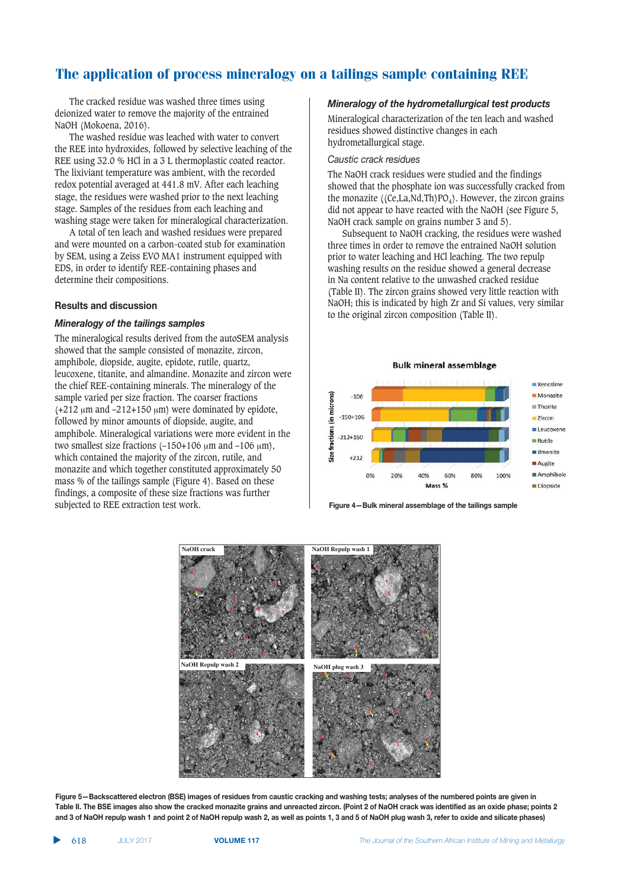The cracked residue was washed three times using deionized water to remove the majority of the entrained NaOH (Mokoena, 2016).

The washed residue was leached with water to convert the REE into hydroxides, followed by selective leaching of the REE using 32.0 % HCl in a 3 L thermoplastic coated reactor. The lixiviant temperature was ambient, with the recorded redox potential averaged at 441.8 mV. After each leaching stage, the residues were washed prior to the next leaching stage. Samples of the residues from each leaching and washing stage were taken for mineralogical characterization.

A total of ten leach and washed residues were prepared and were mounted on a carbon-coated stub for examination by SEM, using a Zeiss EVO MA1 instrument equipped with EDS, in order to identify REE-containing phases and determine their compositions.

### **Results and discussion**

#### *Mineralogy of the tailings samples*

The mineralogical results derived from the autoSEM analysis showed that the sample consisted of monazite, zircon, amphibole, diopside, augite, epidote, rutile, quartz, leucoxene, titanite, and almandine. Monazite and zircon were the chief REE-containing minerals. The mineralogy of the sample varied per size fraction. The coarser fractions (+212  $\mu$ m and -212+150  $\mu$ m) were dominated by epidote, followed by minor amounts of diopside, augite, and amphibole. Mineralogical variations were more evident in the two smallest size fractions  $(-150+106 \mu m)$  and  $-106 \mu m$ ), which contained the majority of the zircon, rutile, and monazite and which together constituted approximately 50 mass % of the tailings sample (Figure 4). Based on these findings, a composite of these size fractions was further subjected to REE extraction test work.

#### *Mineralogy of the hydrometallurgical test products*

Mineralogical characterization of the ten leach and washed residues showed distinctive changes in each hydrometallurgical stage.

#### Caustic crack residues

The NaOH crack residues were studied and the findings showed that the phosphate ion was successfully cracked from the monazite ((Ce,La,Nd,Th)PO<sub>4</sub>). However, the zircon grains did not appear to have reacted with the NaOH (see Figure 5, NaOH crack sample on grains number 3 and 5).

Subsequent to NaOH cracking, the residues were washed three times in order to remove the entrained NaOH solution prior to water leaching and HCl leaching. The two repulp washing results on the residue showed a general decrease in Na content relative to the unwashed cracked residue (Table II). The zircon grains showed very little reaction with NaOH; this is indicated by high Zr and Si values, very similar to the original zircon composition (Table II).







Figure 5-Backscattered electron (BSE) images of residues from caustic cracking and washing tests; analyses of the numbered points are given in Table II. The BSE images also show the cracked monazite grains and unreacted zircon. (Point 2 of NaOH crack was identified as an oxide phase; points 2 and 3 of NaOH repulp wash 1 and point 2 of NaOH repulp wash 2, as well as points 1, 3 and 5 of NaOH plug wash 3, refer to oxide and silicate phases)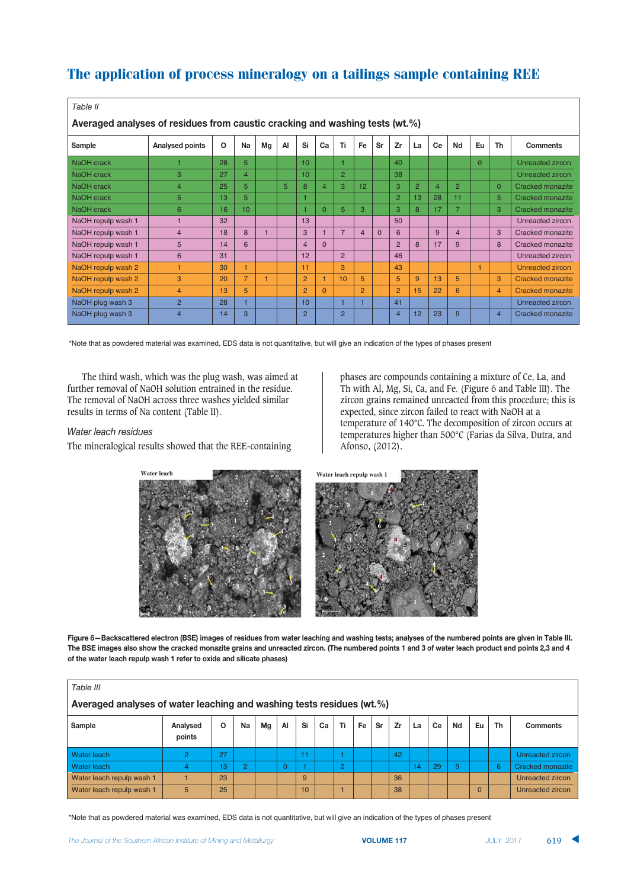| Table II                                                                     |                 |          |                  |    |    |                  |          |                |                |          |                |                |                |                |          |                |                         |
|------------------------------------------------------------------------------|-----------------|----------|------------------|----|----|------------------|----------|----------------|----------------|----------|----------------|----------------|----------------|----------------|----------|----------------|-------------------------|
| Averaged analyses of residues from caustic cracking and washing tests (wt.%) |                 |          |                  |    |    |                  |          |                |                |          |                |                |                |                |          |                |                         |
| Sample                                                                       | Analysed points | $\Omega$ | Na               | Mg | AI | Si               | Ca       | Ti             | Fe             | Sr       | Zr             | La             | Ce             | Nd             | Eu       | Th             | <b>Comments</b>         |
| NaOH crack                                                                   |                 | 28       | 5                |    |    | 10 <sup>1</sup>  |          |                |                |          | 40             |                |                |                | $\Omega$ |                | Unreacted zircon        |
| NaOH crack                                                                   | 3               | 27       | $\overline{4}$   |    |    | 10 <sup>10</sup> |          | $\overline{2}$ |                |          | 38             |                |                |                |          |                | Unreacted zircon        |
| NaOH crack                                                                   | $\overline{4}$  | 25       | 5                |    | 5  | 8                | 4        | 3              | 12             |          | 3              | $\overline{2}$ | $\overline{4}$ | $\overline{2}$ |          | $\Omega$       | Cracked monazite        |
| NaOH crack                                                                   | 5               | 13       | 5                |    |    |                  |          |                |                |          | $\overline{2}$ | 13             | 28             | 11             |          | 5              | Cracked monazite        |
| NaOH crack                                                                   | 6               | 16       | 10 <sup>10</sup> |    |    |                  | $\Omega$ | 5              | 3              |          | 3              | 8              | 17             | $\overline{7}$ |          | 3              | Cracked monazite        |
| NaOH repulp wash 1                                                           |                 | 32       |                  |    |    | 13               |          |                |                |          | 50             |                |                |                |          |                | Unreacted zircon        |
| NaOH repulp wash 1                                                           | $\overline{4}$  | 18       | 8                |    |    | 3                |          | $\overline{7}$ | $\overline{4}$ | $\Omega$ | 6              |                | 9              | 4              |          | 3              | Cracked monazite        |
| NaOH repulp wash 1                                                           | 5               | 14       | 6                |    |    | $\overline{4}$   | $\Omega$ |                |                |          | 2              | 8              | 17             | 9              |          | 8              | Cracked monazite        |
| NaOH repulp wash 1                                                           | 6               | 31       |                  |    |    | 12               |          | $\overline{2}$ |                |          | 46             |                |                |                |          |                | Unreacted zircon        |
| NaOH repulp wash 2                                                           |                 | 30       | 1                |    |    | 11               |          | 3              |                |          | 43             |                |                |                |          |                | Unreacted zircon        |
| NaOH repulp wash 2                                                           | 3               | 20       | $\overline{7}$   | 1  |    | $\overline{2}$   |          | 10             | 5              |          | 5              | 9              | 13             | 5              |          | 3              | <b>Cracked monazite</b> |
| NaOH repulp wash 2                                                           | $\overline{4}$  | 13       | 5                |    |    | 2                | $\Omega$ |                | $\overline{2}$ |          | $\overline{2}$ | 15             | 22             | 6              |          | 4              | Cracked monazite        |
| NaOH plug wash 3                                                             | $\overline{2}$  | 28       | 1                |    |    | 10 <sup>1</sup>  |          |                |                |          | 41             |                |                |                |          |                | Unreacted zircon        |
| NaOH plug wash 3                                                             | $\overline{4}$  | 14       | 3                |    |    | $\overline{2}$   |          | $\overline{2}$ |                |          | $\overline{4}$ | 12             | 23             | 9              |          | $\overline{4}$ | <b>Cracked monazite</b> |

\*Note that as powdered material was examined, EDS data is not quantitative, but will give an indication of the types of phases present

The third wash, which was the plug wash, was aimed at further removal of NaOH solution entrained in the residue. The removal of NaOH across three washes yielded similar results in terms of Na content (Table II).

#### **Water leach residues**

The mineralogical results showed that the REE-containing

phases are compounds containing a mixture of Ce, La, and Th with Al, Mg, Si, Ca, and Fe. (Figure 6 and Table III). The zircon grains remained unreacted from this procedure; this is expected, since zircon failed to react with NaOH at a temperature of 140°C. The decomposition of zircon occurs at temperatures higher than 500°C (Farias da Silva, Dutra, and Afonso, (2012).



Figure 6-Backscattered electron (BSE) images of residues from water leaching and washing tests; analyses of the numbered points are given in Table III. The BSE images also show the cracked monazite grains and unreacted zircon. (The numbered points 1 and 3 of water leach product and points 2,3 and 4 of the water leach repulp wash 1 refer to oxide and silicate phases)

| Table III                                                             |                    |         |                |    |          |    |    |                |    |    |    |    |    |    |                |    |                  |
|-----------------------------------------------------------------------|--------------------|---------|----------------|----|----------|----|----|----------------|----|----|----|----|----|----|----------------|----|------------------|
| Averaged analyses of water leaching and washing tests residues (wt.%) |                    |         |                |    |          |    |    |                |    |    |    |    |    |    |                |    |                  |
| Sample                                                                | Analysed<br>points | $\circ$ | Na             | Mg | AI       | Si | Ca | Ti             | Fe | Sr | Zr | La | Ce | Nd | Eu             | Th | <b>Comments</b>  |
| Water leach                                                           | 2                  | 27      |                |    |          |    |    |                |    |    | 42 |    |    |    |                |    | Unreacted zircon |
| <b>Water leach</b>                                                    | 4                  | 13      | $\overline{2}$ |    | $\Omega$ |    |    | $\overline{2}$ |    |    |    | 14 | 29 | 9  |                | 6  | Cracked monazite |
| Water leach repulp wash 1                                             |                    | 23      |                |    |          | 9  |    |                |    |    | 36 |    |    |    |                |    | Unreacted zircon |
| Water leach repulp wash 1                                             | 5                  | 25      |                |    |          | 10 |    |                |    |    | 38 |    |    |    | $\overline{0}$ |    | Unreacted zircon |

\*Note that as powdered material was examined, EDS data is not quantitative, but will give an indication of the types of phases present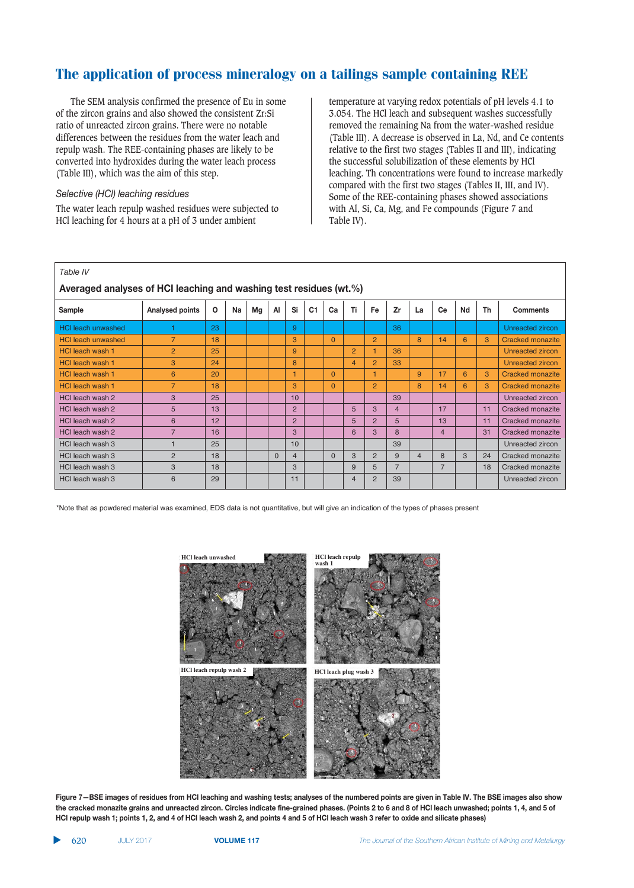The SEM analysis confirmed the presence of Eu in some of the zircon grains and also showed the consistent Zr:Si ratio of unreacted zircon grains. There were no notable differences between the residues from the water leach and repulp wash. The REE-containing phases are likely to be converted into hydroxides during the water leach process (Table III), which was the aim of this step.

### *Selective (HCl) leaching residues*

The water leach repulp washed residues were subjected to HCl leaching for 4 hours at a pH of 3 under ambient

temperature at varying redox potentials of pH levels 4.1 to 3.054. The HCl leach and subsequent washes successfully removed the remaining Na from the water-washed residue (Table III). A decrease is observed in La, Nd, and Ce contents relative to the first two stages (Tables II and III), indicating the successful solubilization of these elements by HCl leaching. Th concentrations were found to increase markedly compared with the first two stages (Tables II, III, and IV). Some of the REE-containing phases showed associations with Al, Si, Ca, Mg, and Fe compounds (Figure 7 and Table IV).

| Averaged analyses of HCI leaching and washing test residues (wt.%) |                 |          |    |    |          |                 |                |          |                |                |                |                |                |    |    |                         |
|--------------------------------------------------------------------|-----------------|----------|----|----|----------|-----------------|----------------|----------|----------------|----------------|----------------|----------------|----------------|----|----|-------------------------|
| Sample                                                             | Analysed points | $\Omega$ | Na | Mg | AI       | Si              | C <sub>1</sub> | Ca       | Ti             | Fe             | Zr             | La             | Ce             | Nd | Th | <b>Comments</b>         |
| <b>HCI leach unwashed</b>                                          |                 | 23       |    |    |          | 9               |                |          |                |                | 36             |                |                |    |    | Unreacted zircon        |
| <b>HCI leach unwashed</b>                                          |                 | 18       |    |    |          | 3               |                | $\Omega$ |                | $\overline{2}$ |                | 8              | 14             | 6  | 3  | Cracked monazite        |
| <b>HCI leach wash 1</b>                                            | 2               | 25       |    |    |          | 9               |                |          | $\overline{2}$ |                | 36             |                |                |    |    | Unreacted zircon        |
| <b>HCI leach wash 1</b>                                            | 3               | 24       |    |    |          | 8               |                |          | $\overline{4}$ | $\overline{2}$ | 33             |                |                |    |    | Unreacted zircon        |
| <b>HCI leach wash 1</b>                                            | 6               | 20       |    |    |          | 1               |                | $\Omega$ |                |                |                | 9              | 17             | 6  | 3  | <b>Cracked monazite</b> |
| <b>HCI leach wash 1</b>                                            | $\overline{7}$  | 18       |    |    |          | 3               |                | $\Omega$ |                | $\overline{2}$ |                | 8              | 14             | 6  | 3  | <b>Cracked monazite</b> |
| HCI leach wash 2                                                   | 3               | 25       |    |    |          | 10 <sup>1</sup> |                |          |                |                | 39             |                |                |    |    | Unreacted zircon        |
| HCI leach wash 2                                                   | 5               | 13       |    |    |          | $\overline{2}$  |                |          | 5              | 3              | 4              |                | 17             |    | 11 | Cracked monazite        |
| HCI leach wash 2                                                   | 6               | 12       |    |    |          | 2               |                |          | 5              | $\overline{2}$ | 5              |                | 13             |    | 11 | Cracked monazite        |
| HCI leach wash 2                                                   | $\overline{7}$  | 16       |    |    |          | 3               |                |          | 6              | 3              | $\mathsf{R}$   |                | $\overline{4}$ |    | 31 | Cracked monazite        |
| HCI leach wash 3                                                   |                 | 25       |    |    |          | 10              |                |          |                |                | 39             |                |                |    |    | Unreacted zircon        |
| HCI leach wash 3                                                   | $\overline{2}$  | 18       |    |    | $\Omega$ | 4               |                | $\Omega$ | 3              | $\overline{2}$ | 9              | $\overline{4}$ | $\mathsf{R}$   | 3  | 24 | Cracked monazite        |
| HCI leach wash 3                                                   | 3               | 18       |    |    |          | 3               |                |          | 9              | 5              | $\overline{7}$ |                | $\overline{7}$ |    | 18 | Cracked monazite        |
| HCI leach wash 3                                                   | 6               | 29       |    |    |          | 11              |                |          | $\overline{4}$ | $\overline{2}$ | 39             |                |                |    |    | Unreacted zircon        |

\*Note that as powdered material was examined, EDS data is not quantitative, but will give an indication of the types of phases present



Figure 7-BSE images of residues from HCI leaching and washing tests; analyses of the numbered points are given in Table IV. The BSE images also show the cracked monazite grains and unreacted zircon. Circles indicate fine-grained phases. (Points 2 to 6 and 8 of HCl leach unwashed; points 1, 4, and 5 of HCI repulp wash 1; points 1, 2, and 4 of HCI leach wash 2, and points 4 and 5 of HCI leach wash 3 refer to oxide and silicate phases)